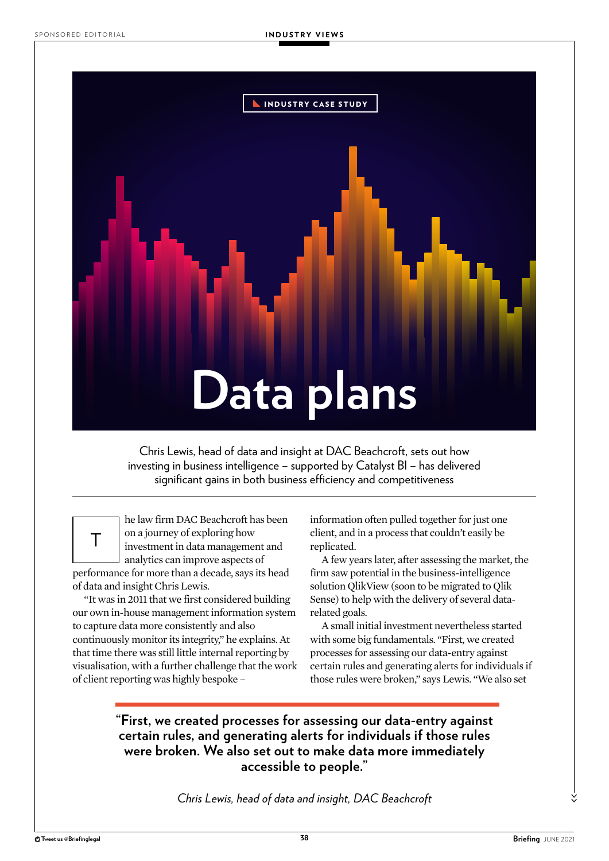

Chris Lewis, head of data and insight at DAC Beachcroft, sets out how investing in business intelligence – supported by Catalyst BI – has delivered significant gains in both business efficiency and competitiveness

T

he law firm DAC Beachcroft has been on a journey of exploring how investment in data management and analytics can improve aspects of

performance for more than a decade, says its head of data and insight Chris Lewis.

"It was in 2011 that we first considered building our own in-house management information system to capture data more consistently and also continuously monitor its integrity," he explains. At that time there was still little internal reporting by visualisation, with a further challenge that the work of client reporting was highly bespoke –

information often pulled together for just one client, and in a process that couldn't easily be replicated.

A few years later, after assessing the market, the firm saw potential in the business-intelligence solution QlikView (soon to be migrated to Qlik Sense) to help with the delivery of several datarelated goals.

A small initial investment nevertheless started with some big fundamentals. "First, we created processes for assessing our data-entry against certain rules and generating alerts for individuals if those rules were broken," says Lewis. "We also set

## **"First, we created processes for assessing our data-entry against certain rules, and generating alerts for individuals if those rules were broken. We also set out to make data more immediately accessible to people."**

*Chris Lewis, head of data and insight, DAC Beachcroft*

>>